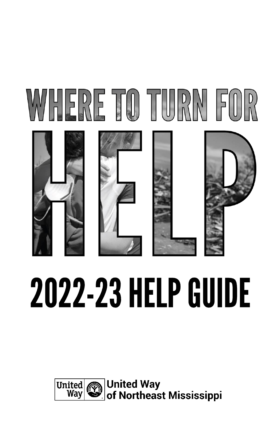

# **2022-23 HELP GUIDE**

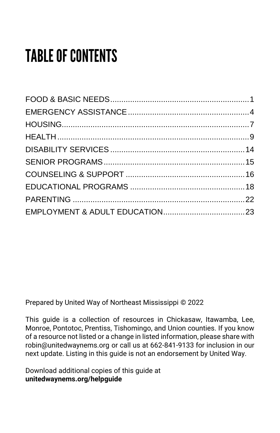# **TABLE OF CONTENTS**

Prepared by United Way of Northeast Mississippi © 2022

This guide is a collection of resources in Chickasaw, Itawamba, Lee, Monroe, Pontotoc, Prentiss, Tishomingo, and Union counties. If you know of a resource not listed or a change in listed information, please share with robin@unitedwaynems.org or call us at 662-841-9133 for inclusion in our next update. Listing in this guide is not an endorsement by United Way.

Download additional copies of this guide at **unitedwaynems.org/helpguide**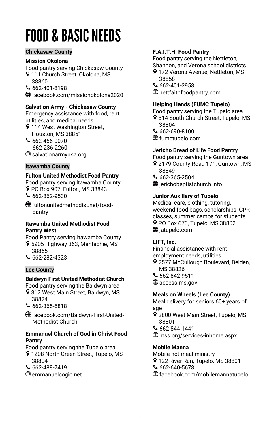# <span id="page-3-0"></span>**FOOD & BASIC NEEDS**

#### **Chickasaw County**

# **Mission Okolona**

Food pantry serving Chickasaw County

- 9 111 Church Street, Okolona, MS 38860
- 662-401-8198
- facebook.com/missionokolona2020

# **Salvation Army - Chickasaw County**

Emergency assistance with food, rent, utilities, and medical needs

- **9 114 West Washington Street,** Houston, MS 38851
- 662-456-0070 662-236-2260

salvationarmyusa.org

#### **Itawamba County**

#### **Fulton United Methodist Food Pantry**

Food pantry serving Itawamba County PO Box 907, Fulton, MS 38843  $662-862-9530$ 

fultonunitedmethodist.net/food pantry

### **Itawamba United Methodist Food Pantry West**

Food Pantry serving Itawamba County 5905 Highway 363, Mantachie, MS 38855

 $662 - 282 - 4323$ 

#### **Lee County**

# **Baldwyn First United Methodist Church**

- Food pantry serving the Baldwyn area 312 West Main Street, Baldwyn, MS 38824
- 
- 662-365-5818
- facebook.com/Baldwyn-First-United- Methodist-Church

#### **Emmanuel Church of God in Christ Food Pantry**

- Food pantry serving the Tupelo area
- 9 1208 North Green Street, Tupelo, MS 38804
- $662 488 7419$
- emmanuelcogic.net

#### **F.A.I.T.H. Food Pantry**

Food pantry serving the Nettleton,

Shannon, and Verona school districts

- 172 Verona Avenue, Nettleton, MS 38858
- $662 401 2958$
- nettfaithfoodpantry.com

# **Helping Hands (FUMC Tupelo)**

Food pantry serving the Tupelo area

- 9 314 South Church Street, Tupelo, MS 38804
- 662-690-8100
- fumctupelo.com

# **Jericho Bread of Life Food Pantry**

Food pantry serving the Guntown area

- 9 2179 County Road 171, Guntown, MS 38849
- $662 365 2504$
- $\bigoplus$  jerichobaptistchurch.info

# **Junior Auxiliary of Tupelo**

Medical care, clothing, tutoring, weekend food bags, scholarships, CPR classes, summer camps for students PO Box 673, Tupelo, MS 38802  $\bigcirc$  jatupelo.com

#### **LIFT, Inc.**

Financial assistance with rent, employment needs, utilities

- 9 2577 McCullough Boulevard, Belden, MS 38826
- $662 842 9511$
- **<sup>⊕</sup>** access.ms.gov

# **Meals on Wheels (Lee County)**

Meal delivery for seniors 60+ years of age

- 9 2800 West Main Street, Tupelo, MS 38801
- 662-844-1441
- mss.org/services-inhome.aspx

#### **Mobile Manna**

- Mobile hot meal ministry
- 9 122 River Run, Tupelo, MS 38801
- $662 640 5678$
- facebook.com/mobilemannatupelo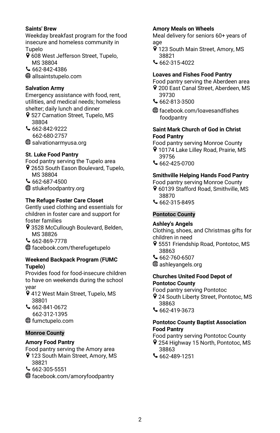# **Saints' Brew**

Weekday breakfast program for the food insecure and homeless community in Tupelo

- 9 608 West Jefferson Street, Tupelo, MS 38804
- 662-842-4386

allsaintstupelo.com

# **Salvation Army**

Emergency assistance with food, rent, utilities, and medical needs; homeless shelter; daily lunch and dinner

- 9 527 Carnation Street, Tupelo, MS 38804
- 662-842-9222 662-680-2757
- salvationarmyusa.org

# **St. Luke Food Pantry**

Food pantry serving the Tupelo area

- 9 2653 South Eason Boulevard, Tupelo, MS 38804
- $662 687 4500$
- **<sup>●</sup>** stlukefoodpantry.org

# **The Refuge Foster Care Closet**

Gently used clothing and essentials for children in foster care and support for foster families

- 9 3528 McCullough Boulevard, Belden, MS 38826
- 662-869-7778
- facebook.com/therefugetupelo

#### **Weekend Backpack Program (FUMC Tupelo)**

Provides food for food-insecure children to have on weekends during the school year

- 9 412 West Main Street, Tupelo, MS 38801
- $662 841 0672$  662-312-1395 fumctupelo.com

#### **Monroe County**

#### **Amory Food Pantry**

Food pantry serving the Amory area 9 123 South Main Street, Amory, MS

- 38821
- $662 305 5551$
- facebook.com/amoryfoodpantry

# **Amory Meals on Wheels**

Meal delivery for seniors 60+ years of age

- 9 123 South Main Street, Amory, MS 38821
- $662 315 4022$

# **Loaves and Fishes Food Pantry**

Food pantry serving the Aberdeen area

- 200 East Canal Street, Aberdeen, MS 39730
- 662-813-3500
- facebook.com/loavesandfishes foodpantry

#### **Saint Mark Church of God in Christ Food Pantry**

Food pantry serving Monroe County

- 10174 Lake Lilley Road, Prairie, MS 39756
- 662-425-0700

# **Smithville Helping Hands Food Pantry**

Food pantry serving Monroe County

- 9 60139 Stafford Road, Smithville, MS 38870
- $662 315 8495$

# **Pontotoc County**

# **Ashley's Angels**

Clothing, shoes, and Christmas gifts for children in need

- 9 5551 Friendship Road, Pontotoc, MS 38863
- $662 760 6507$
- ashleyangels.org

#### **Churches United Food Depot of Pontotoc County**

Food pantry serving Pontotoc

- 9 24 South Liberty Street, Pontotoc, MS 38863
- 662-419-3673

#### **Pontotoc County Baptist Association Food Pantry**

Food pantry serving Pontotoc County

- 254 Highway 15 North, Pontotoc, MS 38863
- 662-489-1251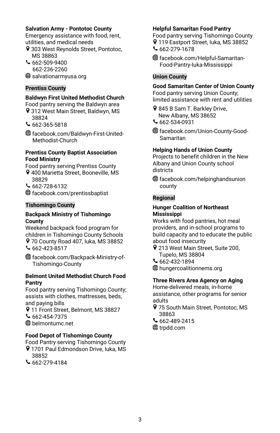### **Salvation Army - Pontotoc County**

Emergency assistance with food, rent, utilities, and medical needs

- 9 303 West Reynolds Street, Pontotoc, MS 38863
- $662 509 9400$ 662-236-2260

salvationarmyusa.org

# **Prentiss County**

# **Baldwyn First United Methodist Church**

- Food pantry serving the Baldwyn area 9 312 West Main Street, Baldwyn, MS
- 38824
- 662-365-5818
- facebook.com/Baldwyn-First-United- Methodist-Church

# **Prentiss County Baptist Association Food Ministry**

- Food pantry serving Prentiss County 9 400 Marietta Street, Booneville, MS
- 38829
- $662 728 6132$
- facebook.com/prentissbaptist

# **Tishomingo County**

#### **Backpack Ministry of Tishomingo County**

Weekend backpack food program for children in Tishomingo County Schools 70 County Road 407, Iuka, MS 38852  $662 - 423 - 8517$ 

facebook.com/Backpack-Ministry-of- Tishomingo-County

#### **Belmont United Methodist Church Food Pantry**

Food pantry serving Tishomingo County; assists with clothes, mattresses, beds, and paying bills

9 11 Front Street, Belmont, MS 38827

 $662 - 454 - 7375$ 

belmontumc.net

# **Food Depot of Tishomingo County**

Food Pantry serving Tishomingo County 9 1701 Paul Edmondson Drive, Iuka, MS

- 38852
- 662-279-4184

# **Helpful Samaritan Food Pantry**

Food pantry serving Tishomingo County 9 119 Eastport Street, luka, MS 38852

- 662-279-1678
- facebook.com/Helpful-Samaritan- Food-Pantry-Iuka-Mississippi

# **Union County**

# **Good Samaritan Center of Union County**

Food pantry serving Union County; limited assistance with rent and utilities

- 845 B Sam T. Barkley Drive, New Albany, MS 38652
- $662 534 0931$
- facebook.com/Union-County-Good- Samaritan

# **Helping Hands of Union County**

Projects to benefit children in the New Albany and Union County school districts

facebook.com/helpinghandsunion county

#### **Regional**

#### **Hunger Coalition of Northeast Mississippi**

Works with food pantries, hot meal providers, and in-school programs to build capacity and to educate the public about food insecurity

- 9 213 West Main Street, Suite 200, Tupelo, MS 38804
- 662-432-1894
- hungercoalitionnems.org

# **Three Rivers Area Agency on Aging**

Home-delivered meals, in-home assistance, other programs for senior adults

- 9 75 South Main Street, Pontotoc, MS 38863
- $662 489 2415$
- **<sup>⊕</sup>** trpdd.com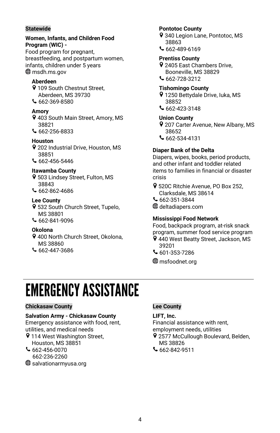# **Statewide**

#### **Women, Infants, and Children Food Program (WIC) -**

Food program for pregnant, breastfeeding, and postpartum women, infants, children under 5 years **<sup>⊕</sup>** msdh.ms.gov

# **Aberdeen**

- 9 109 South Chestnut Street. Aberdeen, MS 39730  $662 - 369 - 8580$
- **Amory**
- 403 South Main Street, Amory, MS 38821
- 662-256-8833

# **Houston**

- 202 Industrial Drive, Houston, MS 38851
- 662-456-5446

# **Itawamba County**

- 9 503 Lindsey Street, Fulton, MS 38843
- 662-862-4686

# **Lee County**

- 9 532 South Church Street, Tupelo, MS 38801
- 662-841-9096

# **Okolona**

- 9 400 North Church Street, Okolona, MS 38860
- $662 447 3686$

# **Pontotoc County**

- 9 340 Legion Lane, Pontotoc, MS 38863
- 662-489-6169

# **Prentiss County**

- 2405 East Chambers Drive, Booneville, MS 38829
- 662-728-3212

# **Tishomingo County**

- 9 1250 Bettydale Drive, luka, MS 38852
- $662 423 3148$

# **Union County**

- 9 207 Carter Avenue, New Albany, MS 38652
- 662-534-4131

# **Diaper Bank of the Delta**

Diapers, wipes, books, period products, and other infant and toddler related items to families in financial or disaster crisis

- 520C Ritchie Avenue, PO Box 252, Clarksdale, MS 38614
- 662-351-3844
- deltadiapers.com

# **Mississippi Food Network**

Food, backpack program, at-risk snack program, summer food service program

- 440 West Beatty Street, Jackson, MS 39201
- 601-353-7286

**⊕** msfoodnet.org

# <span id="page-6-0"></span>**EMERGENCY ASSISTANCE**

# **Chickasaw County**

#### **Salvation Army - Chickasaw County**

Emergency assistance with food, rent, utilities, and medical needs

- **9 114 West Washington Street,** Houston, MS 38851
- 662-456-0070
- 662-236-2260
- salvationarmyusa.org

#### **Lee County**

# **LIFT, Inc.**

Financial assistance with rent,

employment needs, utilities

- 9 2577 McCullough Boulevard, Belden, MS 38826
- 662-842-9511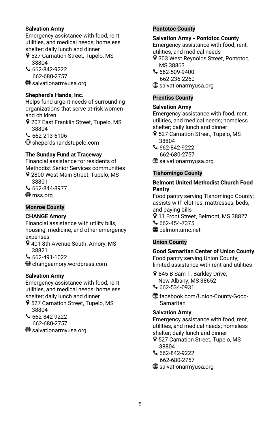# **Salvation Army**

Emergency assistance with food, rent, utilities, and medical needs; homeless shelter; daily lunch and dinner

- 9 527 Carnation Street, Tupelo, MS 38804
- 662-842-9222 662-680-2757

salvationarmyusa.org

# **Shepherd's Hands, Inc.**

Helps fund urgent needs of surrounding organizations that serve at-risk women and children

9 207 East Franklin Street, Tupelo, MS 38804

662-213-6106

sheperdshandstupelo.com

# **The Sunday Fund at Traceway**

Financial assistance for residents of Methodist Senior Services communities 9 2800 West Main Street, Tupelo, MS

- 38801
- 662-844-8977
- **⊕** mss.org

# **Monroe County**

# **CHANGE Amory**

Financial assistance with utility bills, housing, medicine, and other emergency expenses

- 9 401 8th Avenue South, Amory, MS 38821
- 662-491-1022

changeamory.wordpress.com

# **Salvation Army**

Emergency assistance with food, rent, utilities, and medical needs; homeless shelter; daily lunch and dinner

- 9 527 Carnation Street, Tupelo, MS 38804
- $662 842 9222$ 662-680-2757
- salvationarmyusa.org

# **Pontotoc County**

#### **Salvation Army - Pontotoc County**

Emergency assistance with food, rent, utilities, and medical needs

- 9 303 West Reynolds Street, Pontotoc, MS 38863
- 662-509-9400 662-236-2260
- salvationarmyusa.org

# **Prentiss County**

# **Salvation Army**

Emergency assistance with food, rent, utilities, and medical needs; homeless shelter; daily lunch and dinner

- 9 527 Carnation Street, Tupelo, MS 38804
- 662-842-9222 662-680-2757
- salvationarmyusa.org

# **Tishomingo County**

#### **Belmont United Methodist Church Food Pantry**

Food pantry serving Tishomingo County; assists with clothes, mattresses, beds, and paying bills

- 9 11 Front Street, Belmont, MS 38827
- 662-454-7375
- belmontumc.net

# **Union County**

**Good Samaritan Center of Union County** Food pantry serving Union County; limited assistance with rent and utilities

9 845 B Sam T. Barkley Drive. New Albany, MS 38652  $\mathsf{662}$ -534-0931

facebook.com/Union-County-Good- Samaritan

#### **Salvation Army**

Emergency assistance with food, rent, utilities, and medical needs; homeless shelter; daily lunch and dinner

- 9 527 Carnation Street, Tupelo, MS 38804
- 662-842-9222 662-680-2757

salvationarmyusa.org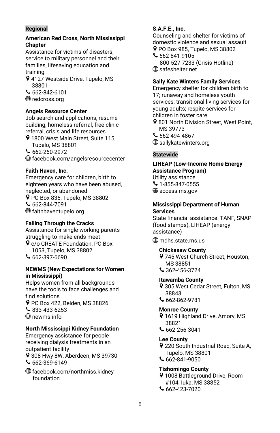# **Regional**

#### **American Red Cross, North Mississippi Chapter**

Assistance for victims of disasters, service to military personnel and their families, lifesaving education and training

9 4127 Westside Drive, Tupelo, MS 38801

 $662 - 842 - 6101$ **⊕** redcross.org

# **Angels Resource Center**

Job search and applications, resume building, homeless referral, free clinic referral, crisis and life resources

9 1800 West Main Street, Suite 115, Tupelo, MS 38801

 $662 - 260 - 2972$ 

facebook.com/angelsresourcecenter

# **Faith Haven, Inc.**

Emergency care for children, birth to eighteen years who have been abused, neglected, or abandoned P PO Box 835, Tupelo, MS 38802  $662 - 844 - 7091$ faithhaventupelo.org

# **Falling Through the Cracks**

Assistance for single working parents struggling to make ends meet

- c/o CREATE Foundation, PO Box 1053, Tupelo, MS 38802
- $662 397 6690$

#### **NEWMS (New Expectations for Women in Mississippi)**

Helps women from all backgrounds have the tools to face challenges and find solutions PO Box 422, Belden, MS 38826

833-433-6253 **⊕** newms.info

# **North Mississippi Kidney Foundation**

Emergency assistance for people receiving dialysis treatments in an outpatient facility 9 308 Hwy 8W, Aberdeen, MS 39730  $662 - 369 - 6149$ 

facebook.com/northmiss.kidney foundation

### **S.A.F.E., Inc.**

Counseling and shelter for victims of domestic violence and sexual assault P PO Box 985, Tupelo, MS 38802

- 662-841-9105 800-527-7233 (Crisis Hotline)
- safeshelter.net

# **Sally Kate Winters Family Services**

Emergency shelter for children birth to 17; runaway and homeless youth services; transitional living services for young adults; respite services for children in foster care

- 9 801 North Division Street, West Point, MS 39773
- 662-494-4867
- **<sup>●</sup>** sallykatewinters.org

# **Statewide**

# **LIHEAP (Low-Income Home Energy Assistance Program)**

Utility assistance  $\sim$  1-855-847-0555 **<sup>⊕</sup>** access.ms.gov

#### **Mississippi Department of Human Services**

State financial assistance: TANF, SNAP (food stamps), LIHEAP (energy assistance)

 $\bigoplus$  mdhs.state.ms.us

# **Chickasaw County**

9 745 West Church Street, Houston, MS 38851 362-456-3724

# **Itawamba County**

9 305 West Cedar Street, Fulton, MS 38843

662-862-9781

#### **Monroe County**

9 1619 Highland Drive, Amory, MS 38821

 $662 - 256 - 3041$ 

#### **Lee County**

9 220 South Industrial Road, Suite A, Tupelo, MS 38801

 $662 - 841 - 9050$ 

#### **Tishomingo County**

**9** 1008 Battleground Drive, Room #104, Iuka, MS 38852 662-423-7020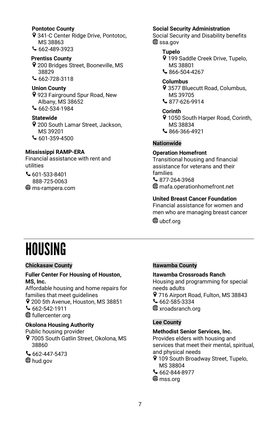#### **Pontotoc County**

341-C Center Ridge Drive, Pontotoc, MS 38863

662-489-3923

# **Prentiss County**

200 Bridges Street, Booneville, MS 38829

662-728-3118

# **Union County**

923 Fairground Spur Road, New Albany, MS 38652

662-534-1984

# **Statewide**

- 9 200 South Lamar Street, Jackson, MS 39201  $601-359-4500$
- 

# **Mississippi RAMP-ERA**

Financial assistance with rent and utilities

601-533-8401 888-725-0063 ms-rampera.com

#### **Social Security Administration**

Social Security and Disability benefits **⊕** ssa.gov

# **Tupelo**

- 9 199 Saddle Creek Drive, Tupelo, MS 38801
- 866-504-4267

# **Columbus**

- 9 3577 Bluecutt Road, Columbus, MS 39705
- 877-626-9914

# **Corinth**

- 1050 South Harper Road, Corinth, MS 38834
- 866-366-4921

# **Nationwide**

#### **Operation Homefront**

Transitional housing and financial assistance for veterans and their families  $$877-264-3968$ mafa.operationhomefront.net

# **United Breast Cancer Foundation**

Financial assistance for women and men who are managing breast cancer **⊕** ubcf.org

# <span id="page-9-0"></span>**HOUSING**

#### **Chickasaw County**

#### **Fuller Center For Housing of Houston, MS, Inc.**

Affordable housing and home repairs for families that meet guidelines 9 200 5th Avenue, Houston, MS 38851

 $662 - 542 - 1911$ 

fullercenter.org

#### **Okolona Housing Authority**

Public housing provider 9 7005 South Gatlin Street, Okolona, MS 38860

662-447-5473 **<sup>⊕</sup>** hud.gov

#### **Itawamba County**

#### **Itawamba Crossroads Ranch**

Housing and programming for special needs adults 9 716 Airport Road, Fulton, MS 38843  $662 - 585 - 3334$ **<sup>⊕</sup>xroadsranch.org** 

#### **Lee County**

#### **Methodist Senior Services, Inc.**

Provides elders with housing and services that meet their mental, spiritual, and physical needs 9 109 South Broadway Street, Tupelo,

- MS 38804
- 662-844-8977
- ⊕mss.org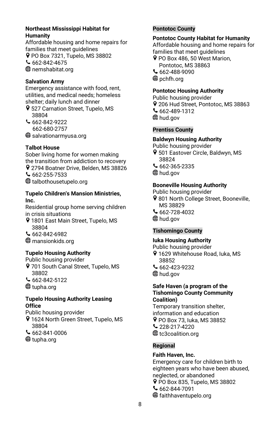# **Northeast Mississippi Habitat for Humanity**

Affordable housing and home repairs for families that meet guidelines PO Box 7321, Tupelo, MS 38802 662-842-4675 nemshabitat.org

# **Salvation Army**

Emergency assistance with food, rent, utilities, and medical needs; homeless shelter; daily lunch and dinner

- 9 527 Carnation Street, Tupelo, MS 38804
- $662 842 9222$ 662-680-2757

salvationarmyusa.org

# **Talbot House**

Sober living home for women making the transition from addiction to recovery 9 2794 Boatner Drive, Belden, MS 38826  $662 - 255 - 7533$ talbothousetupelo.org

#### **Tupelo Children's Mansion Ministries, Inc.**

Residential group home serving children in crisis situations

- 9 1801 East Main Street, Tupelo, MS 38804
- 662-842-6982
- mansionkids.org

# **Tupelo Housing Authority**

Public housing provider 9 701 South Canal Street, Tupelo, MS

38802 662-842-5122

**<sup>⊕</sup>tupha.org** 

# **Tupelo Housing Authority Leasing Office**

Public housing provider

- 9 1624 North Green Street, Tupelo, MS 38804
- 662-841-0006
- **⊕** tupha.org

# **Pontotoc County**

#### **Pontotoc County Habitat for Humanity**

Affordable housing and home repairs for families that meet guidelines

PO Box 486, 50 West Marion, Pontotoc, MS 38863 662-488-9090 **<sup>⊕</sup>** pchfh.org

#### **Pontotoc Housing Authority**

Public housing provider 9 206 Hud Street, Pontotoc, MS 38863 662-489-1312 **<sup>⊕</sup>** hud.gov

#### **Prentiss County**

# **Baldwyn Housing Authority**

Public housing provider 9 501 Eastover Circle, Baldwyn, MS 38824  $662 - 365 - 2335$ **<sup>⊕</sup>** hud.gov

#### **Booneville Housing Authority**

Public housing provider 9 801 North College Street, Booneville, MS 38829 662-728-4032

**<sup>⊕</sup>** hud.gov

#### **Tishomingo County**

#### **Iuka Housing Authority**

Public housing provider

- 1629 Whitehouse Road, Iuka, MS 38852
- 662-423-9232
- **<sup>⊕</sup>** hud.gov

#### **Safe Haven (a program of the Tishomingo County Community Coalition)**

Temporary transition shelter, information and education PO Box 73, Iuka, MS 38852 228-217-4220 **<sup>●</sup>** tc3coalition.org

#### **Regional**

#### **Faith Haven, Inc.**

Emergency care for children birth to eighteen years who have been abused, neglected, or abandoned P PO Box 835, Tupelo, MS 38802  $662 - 844 - 7091$ faithhaventupelo.org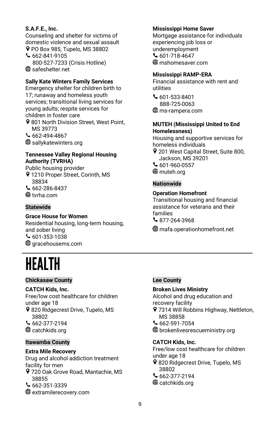# **S.A.F.E., Inc.**

Counseling and shelter for victims of domestic violence and sexual assault P PO Box 985, Tupelo, MS 38802

 $662 - 841 - 9105$  800-527-7233 (Crisis Hotline) **<sup>⊕</sup>** safeshelter.net

# **Sally Kate Winters Family Services**

Emergency shelter for children birth to 17; runaway and homeless youth services; transitional living services for young adults; respite services for children in foster care

9801 North Division Street, West Point, MS 39773

 $662 - 494 - 4867$ **<sup>●</sup>** sallykatewinters.org

#### **Tennessee Valley Regional Housing Authority (TVRHA)**

Public housing provider 9 1210 Proper Street, Corinth, MS 38834 662-286-8437 **<sup>⊕</sup>tvrha.com** 

#### **Statewide**

#### **Grace House for Women**

Residential housing, long-term housing, and sober living  $601 - 353 - 1038$  $\textcircled{\tiny{\textcircled{\tiny{H}}}}$  aracehousems.com

# <span id="page-11-0"></span>HEALTH

#### **Chickasaw County**

#### **CATCH Kids, Inc.**

Free/low cost healthcare for children under age 18 9820 Ridgecrest Drive, Tupelo, MS 38802  $662-377-2194$ **<sup>⊕</sup>** catchkids.org

# **Itawamba County**

#### **Extra Mile Recovery**

Drug and alcohol addiction treatment facility for men

- 720 Oak Grove Road, Mantachie, MS 38855
- $662 351 3339$
- extramilerecovery.com

# **Mississippi Home Saver**

Mortgage assistance for individuals experiencing job loss or underemployment  $601-718-4647$ mshomesaver.com

#### **Mississippi RAMP-ERA**

Financial assistance with rent and utilities

 $601 - 533 - 8401$  888-725-0063 ms-rampera.com

#### **MUTEH (Mississippi United to End Homelessness)**

Housing and supportive services for homeless individuals 9 201 West Capital Street, Suite 800, Jackson, MS 39201  $601-960-0557$ 

**⊕** muteh.org

# **Nationwide**

# **Operation Homefront**

Transitional housing and financial assistance for veterans and their families  $\text{877-264-3968}$ 

mafa.operationhomefront.net

# **Lee County**

#### **Broken Lives Ministry**

Alcohol and drug education and recovery facility

- 9 7314 Will Robbins Highway, Nettleton, MS 38858
- 662-591-7054
- brokenlivesrescueministry.org

#### **CATCH Kids, Inc.**

Free/low cost healthcare for children under age 18 9820 Ridgecrest Drive, Tupelo, MS 38802

- 662-377-2194
- **<sup>⊕</sup>** catchkids.org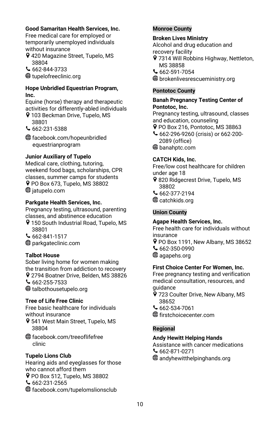# **Good Samaritan Health Services, Inc.**

Free medical care for employed or temporarily unemployed individuals without insurance

- 420 Magazine Street, Tupelo, MS 38804
- 662-844-3733

**<sup>●</sup>** tupelofreeclinic.org

#### **Hope Unbridled Equestrian Program, Inc.**

Equine (horse) therapy and therapeutic activities for differently-abled individuals 103 Beckman Drive, Tupelo, MS

38801

662-231-5388

facebook.com/hopeunbridled equestrianprogram

# **Junior Auxiliary of Tupelo**

Medical care, clothing, tutoring, weekend food bags, scholarships, CPR classes, summer camps for students P PO Box 673, Tupelo, MS 38802  $\bigoplus$  iatupelo.com

# **Parkgate Health Services, Inc.**

Pregnancy testing, ultrasound, parenting classes, and abstinence education

9 150 South Industrial Road, Tupelo, MS 38801

 $662 - 841 - 1517$ parkgateclinic.com

# **Talbot House**

Sober living home for women making the transition from addiction to recovery 9 2794 Boatner Drive, Belden, MS 38826  $662 - 255 - 7533$ talbothousetupelo.org

# **Tree of Life Free Clinic**

Free basic healthcare for individuals without insurance

9 541 West Main Street, Tupelo, MS 38804

facebook.com/treeoflifefree clinic

# **Tupelo Lions Club**

Hearing aids and eyeglasses for those who cannot afford them P PO Box 512, Tupelo, MS 38802 662-231-2565 facebook.com/tupelomslionsclub

#### **Monroe County**

#### **Broken Lives Ministry**

Alcohol and drug education and recovery facility

- 9 7314 Will Robbins Highway, Nettleton, MS 38858
- 662-591-7054
- brokenlivesrescueministry.org

#### **Pontotoc County**

#### **Banah Pregnancy Testing Center of Pontotoc, Inc.**

Pregnancy testing, ultrasound, classes and education, counseling

- PO Box 216, Pontotoc, MS 38863
- 662-296-9260 (crisis) or 662-200- 2089 (office)
- banahptc.com

# **CATCH Kids, Inc.**

Free/low cost healthcare for children under age 18

- 9 820 Ridgecrest Drive, Tupelo, MS 38802
- 662-377-2194
- **<sup>⊕</sup>** catchkids.org

# **Union County**

#### **Agape Health Services, Inc.**

Free health care for individuals without insurance

- P PO Box 1191, New Albany, MS 38652 662-350-0990
- ⊕ agapehs.org

#### **First Choice Center For Women, Inc.**

Free pregnancy testing and verification medical consultation, resources, and guidance

- 9 723 Coulter Drive, New Albany, MS 38652
- 662-534-7061
- firstchoicecenter.com

# **Regional**

# **Andy Hewitt Helping Hands**

Assistance with cancer medications  $662-871-0271$ 

andyhewitthelpinghands.org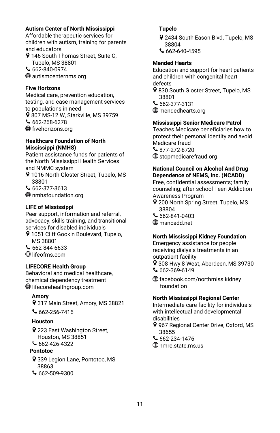# **Autism Center of North Mississippi**

Affordable therapeutic services for children with autism, training for parents and educators

9 146 South Thomas Street, Suite C, Tupelo, MS 38801  $662 - 840 - 0974$ 

autismcenternms.org

# **Five Horizons**

Medical care, prevention education, testing, and case management services to populations in need 9 807 MS-12 W, Starkville, MS 39759  $662 - 268 - 6278$ **<sup>⊕</sup>** fivehorizons.org

# **Healthcare Foundation of North Mississippi (NMHS)**

Patient assistance funds for patients of the North Mississippi Health Services and NMMC system

9 1016 North Gloster Street, Tupelo, MS 38801

662-377-3613

nmhsfoundation.org

# **LIFE of Mississippi**

Peer support, information and referral, advocacy, skills training, and transitional services for disabled individuals

- 9 1051 Cliff Gookin Boulevard, Tupelo, MS 38801
- $662 844 6633$
- lifeofms.com

# **LIFECORE Health Group**

Behavioral and medical healthcare, chemical dependency treatment **I**lifecorehealthgroup.com

# **Amory**

317 Main Street, Amory, MS 38821

 $662 - 256 - 7416$ 

# **Houston**

223 East Washington Street, Houston, MS 38851

662-426-4322

# **Pontotoc**

- 9 339 Legion Lane, Pontotoc, MS 38863
- 662-509-9300

# **Tupelo**

- 9 2434 South Eason Blvd, Tupelo, MS 38804
- $662 640 4595$

# **Mended Hearts**

Education and support for heart patients and children with congenital heart defects

- 9 830 South Gloster Street, Tupelo, MS 38801
- 662-377-3131

mendedhearts.org

# **Mississippi Senior Medicare Patrol**

Teaches Medicare beneficiaries how to protect their personal identity and avoid Medicare fraud

6877-272-8720

 $\textcircled{\tiny{\textcircled{\tiny{4}}}}$  stopmedicarefraud.org

# **National Council on Alcohol And Drug Dependence of NEMS, Inc. (NCADD)**

Free, confidential assessments; family counseling; after-school Teen Addiction Awareness Program

- 9 200 North Spring Street, Tupelo, MS 38804
- 662-841-0403
- msncadd.net

# **North Mississippi Kidney Foundation**

Emergency assistance for people receiving dialysis treatments in an outpatient facility

- 9 308 Hwy 8 West, Aberdeen, MS 39730  $662 - 369 - 6149$
- facebook.com/northmiss.kidney foundation

# **North Mississippi Regional Center**

Intermediate care facility for individuals with intellectual and developmental disabilities

- 967 Regional Center Drive, Oxford, MS 38655
- $662-234-1476$

**fterms** nmrc.state.ms.us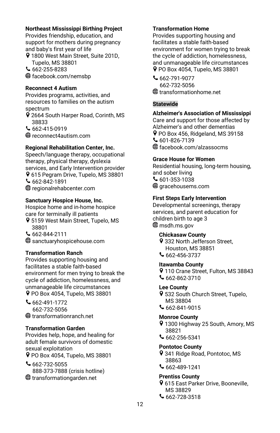### **Northeast Mississippi Birthing Project**

Provides friendship, education, and support for mothers during pregnancy and baby's first year of life

9 1800 West Main Street, Suite 201D, Tupelo, MS 38801

 $662 - 255 - 8283$ 

facebook.com/nemsbp

#### **Reconnect 4 Autism**

Provides programs, activities, and resources to families on the autism spectrum

2664 South Harper Road, Corinth, MS 38833

 $662 - 415 - 0919$ 

reconnect4autism.com

# **Regional Rehabilitation Center, Inc.**

Speech/language therapy, occupational therapy, physical therapy, dyslexia services, and Early Intervention provider 9 615 Pegram Drive, Tupelo, MS 38801  $662 - 842 - 1891$ regionalrehabcenter.com

#### **Sanctuary Hospice House, Inc.**

Hospice home and in-home hospice care for terminally ill patients

9 5159 West Main Street, Tupelo, MS 38801

662-844-2111

sanctuaryhospicehouse.com

# **Transformation Ranch**

Provides supporting housing and facilitates a stable faith-based environment for men trying to break the cycle of addiction, homelessness, and unmanageable life circumstances PO Box 4054, Tupelo, MS 38801

662-491-1772 662-732-5056 transformationranch.net

# **Transformation Garden**

Provides help, hope, and healing for adult female survivors of domestic sexual exploitation

PO Box 4054, Tupelo, MS 38801

 $662-732-5055$  888-373-7888 (crisis hotline) transformationgarden.net

### **Transformation Home**

Provides supporting housing and facilitates a stable faith-based environment for women trying to break the cycle of addiction, homelessness, and unmanageable life circumstances PO Box 4054, Tupelo, MS 38801

662-791-9077 662-732-5056 transformationhome.net

# **Statewide**

**Alzheimer's Association of Mississippi** Care and support for those affected by Alzheimer's and other dementias P PO Box 456, Ridgeland, MS 39158  $601-826-7139$ 

facebook.com/alzassocms

# **Grace House for Women**

Residential housing, long-term housing, and sober living  $601 - 353 - 1038$  $\textcircled{\tiny{\textcircled{\tiny{H}}}}$  aracehousems.com

# **First Steps Early Intervention**

Developmental screenings, therapy services, and parent education for children birth to age 3 **<sup>●</sup>** msdh.ms.gov

#### **Chickasaw County**

9 332 North Jefferson Street. Houston, MS 38851 662-456-3737

#### **Itawamba County**

9 110 Crane Street, Fulton, MS 38843  $662 - 862 - 3710$ 

# **Lee County**

9 532 South Church Street, Tupelo, MS 38804

 $662 - 841 - 9015$ 

#### **Monroe County**

9 1300 Highway 25 South, Amory, MS 38821

662-256-5341

#### **Pontotoc County**

341 Ridge Road, Pontotoc, MS 38863

 $662 - 489 - 1241$ 

# **Prentiss County**

- 615 East Parker Drive, Booneville, MS 38829
- $662 728 3518$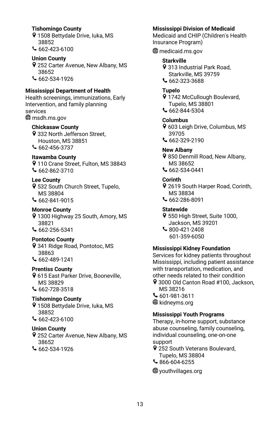#### **Tishomingo County**

- 1508 Bettydale Drive, Iuka, MS 38852
- 662-423-6100

# **Union County**

252 Carter Avenue, New Albany, MS 38652 662-534-1926

# **Mississippi Department of Health**

Health screenings, immunizations, Early Intervention, and family planning services msdh.ms.gov

# **Chickasaw County**

9 332 North Jefferson Street, Houston, MS 38851  $662 - 456 - 3737$ 

# **Itawamba County**

9 110 Crane Street, Fulton, MS 38843  $662 - 862 - 3710$ 

# **Lee County**

- 9 532 South Church Street, Tupelo, MS 38804 662-841-9015
- 

# **Monroe County**

- 1300 Highway 25 South, Amory, MS 38821
- $662 256 5341$

# **Pontotoc County**

9 341 Ridge Road, Pontotoc, MS 38863  $662 - 489 - 1241$ 

# **Prentiss County**

**9** 615 East Parker Drive, Booneville, MS 38829 662-728-3518

# **Tishomingo County**

- 9 1508 Bettydale Drive, luka, MS 38852
- $662 423 6100$

# **Union County**

- 252 Carter Avenue, New Albany, MS 38652
- 662-534-1926

# **Mississippi Division of Medicaid**

Medicaid and CHIP (Children's Health Insurance Program)

medicaid.ms.gov

# **Starkville**

9 313 Industrial Park Road. Starkville, MS 39759 662-323-3688

# **Tupelo**

9 1742 McCullough Boulevard, Tupelo, MS 38801

662-844-5304

# **Columbus**

- 603 Leigh Drive, Columbus, MS 39705
- 662-329-2190

# **New Albany**

9 850 Denmill Road, New Albany, MS 38652 662-534-0441

#### **Corinth**

- 2619 South Harper Road, Corinth, MS 38834 662-286-8091
- 

# **Statewide**

- 9 550 High Street, Suite 1000, Jackson, MS 39201
- 800-421-2408 601-359-6050

#### **Mississippi Kidney Foundation**

Services for kidney patients throughout Mississippi, including patient assistance with transportation, medication, and other needs related to their condition

- 9 3000 Old Canton Road #100, Jackson, MS 38216
- 601-981-3611 **<sup>⊕</sup> kidneyms.org**

#### **Mississippi Youth Programs**

Therapy, in-home support, substance abuse counseling, family counseling, individual counseling, one-on-one support

- 9 252 South Veterans Boulevard, Tupelo, MS 38804
- 866-604-6255

#### youthvillages.org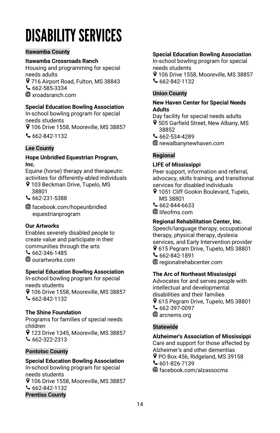# <span id="page-16-0"></span>**DISABILITY SERVICES**

# **Itawamba County**

# **Itawamba Crossroads Ranch**

Housing and programming for special needs adults

9 716 Airport Road, Fulton, MS 38843  $662 - 585 - 3334$ 

xroadsranch.com

# **Special Education Bowling Association**

In-school bowling program for special needs students

9 106 Drive 1558, Mooreville, MS 38857

 $662 - 842 - 1132$ 

#### **Lee County**

#### **Hope Unbridled Equestrian Program, Inc.**

Equine (horse) therapy and therapeutic activities for differently-abled individuals

- 9 103 Beckman Drive, Tupelo, MS 38801
- 662-231-5388
- facebook.com/hopeunbridled equestrianprogram

# **Our Artworks**

Enables severely disabled people to create value and participate in their communities through the arts  $662 - 346 - 1485$ ourartworks.com

# **Special Education Bowling Association**

In-school bowling program for special needs students 9 106 Drive 1558, Mooreville, MS 38857

 $662 - 842 - 1132$ 

# **The Shine Foundation**

Programs for families of special needs children 9 123 Drive 1345, Mooreville, MS 38857  $662-322-2313$ 

#### **Pontotoc County**

# **Special Education Bowling Association**

In-school bowling program for special needs students 106 Drive 1558, Mooreville, MS 38857  $662 - 842 - 1132$ **Prentiss County**

#### **Special Education Bowling Association**

In-school bowling program for special needs students

9 106 Drive 1558, Mooreville, MS 38857  $662 - 842 - 1132$ 

# **Union County**

#### **New Haven Center for Special Needs Adults**

Day facility for special needs adults

- 505 Garfield Street, New Albany, MS 38852
- $662 534 4289$
- newalbanynewhaven.com

# **Regional**

#### **LIFE of Mississippi**

Peer support, information and referral, advocacy, skills training, and transitional services for disabled individuals

- 9 1051 Cliff Gookin Boulevard, Tupelo, MS 38801
- 662-844-6633
- **<sup>●</sup>** lifeofms.com

#### **Regional Rehabilitation Center, Inc.**

Speech/language therapy, occupational therapy, physical therapy, dyslexia services, and Early Intervention provider 9 615 Pegram Drive, Tupelo, MS 38801 662-842-1891 regionalrehabcenter.com

#### **The Arc of Northeast Mississippi**

Advocates for and serves people with intellectual and developmental disabilities and their families 615 Pegram Drive, Tupelo, MS 38801 662-397-0097 **⊕** arcnems.org

# **Statewide**

**Alzheimer's Association of Mississippi** Care and support for those affected by Alzheimer's and other dementias P PO Box 456, Ridgeland, MS 39158  $601-826-7139$ facebook.com/alzassocms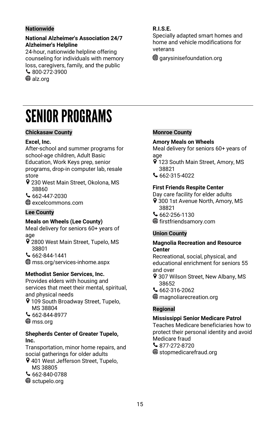# **Nationwide**

#### **National Alzheimer's Association 24/7 Alzheimer's Helpline**

24-hour, nationwide helpline offering counseling for individuals with memory loss, caregivers, family, and the public 800-272-3900 **⊕** alz.org

# <span id="page-17-0"></span>**SENIOR PROGRAMS**

#### **Chickasaw County**

#### **Excel, Inc.**

After-school and summer programs for school-age children, Adult Basic Education, Work Keys prep, senior programs, drop-in computer lab, resale store

230 West Main Street, Okolona, MS 38860

 $662 - 447 - 2030$ 

excelcommons.com

# **Lee County**

#### **Meals on Wheels (Lee County)**

Meal delivery for seniors 60+ years of age

9 2800 West Main Street, Tupelo, MS 38801

 $662 - 844 - 1441$ 

mss.org/services-inhome.aspx

#### **Methodist Senior Services, Inc.**

Provides elders with housing and services that meet their mental, spiritual, and physical needs

9 109 South Broadway Street, Tupelo, MS 38804

 $662 - 844 - 8977$ 

⊕mss.ora

#### **Shepherds Center of Greater Tupelo, Inc.**

Transportation, minor home repairs, and social gatherings for older adults

9 401 West Jefferson Street, Tupelo, MS 38805

 $\mathsf{662\text{-}840\text{-}0788}$ 

sctupelo.org

# **R.I.S.E.**

Specially adapted smart homes and home and vehicle modifications for veterans

 $\bigoplus$  garysinisefoundation.org

# **Monroe County**

#### **Amory Meals on Wheels**

Meal delivery for seniors 60+ years of age

- 9 123 South Main Street, Amory, MS 38821
- 662-315-4022

#### **First Friends Respite Center**

Day care facility for elder adults

- 9 300 1st Avenue North, Amory, MS 38821
- 662-256-1130

firstfriendsamory.com

#### **Union County**

#### **Magnolia Recreation and Resource Center**

Recreational, social, physical, and educational enrichment for seniors 55 and over

- 9 307 Wilson Street, New Albany, MS 38652
- 662-316-2062
- **<sup>●</sup>** magnoliarecreation.org

# **Regional**

### **Mississippi Senior Medicare Patrol**

Teaches Medicare beneficiaries how to protect their personal identity and avoid Medicare fraud  $\binom{877-272-8720}{6}$  $\bigoplus$  stopmedicarefraud.org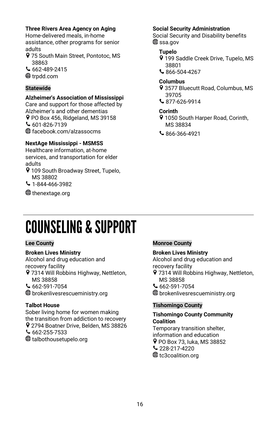# **Three Rivers Area Agency on Aging**

Home-delivered meals, in-home assistance, other programs for senior adults

- 9 75 South Main Street, Pontotoc, MS 38863
- $662 489 2415$
- **<sup>⊕</sup>** trpdd.com

# **Statewide**

# **Alzheimer's Association of Mississippi**

Care and support for those affected by Alzheimer's and other dementias P PO Box 456, Ridgeland, MS 39158  $601 - 826 - 7139$ facebook.com/alzassocms

# **NextAge Mississippi - MSMSS**

Healthcare information, at-home services, and transportation for elder adults

9 109 South Broadway Street, Tupelo, MS 38802

 $\bigcup$  1-844-466-3982

**⊕** thenextage.org

# **Social Security Administration**

Social Security and Disability benefits **⊕** ssa.gov

# **Tupelo**

- 9 199 Saddle Creek Drive, Tupelo, MS 38801
- 866-504-4267

# **Columbus**

- 3577 Bluecutt Road, Columbus, MS 39705
- 877-626-9914

# **Corinth**

- 9 1050 South Harper Road, Corinth, MS 38834
- 866-366-4921

# <span id="page-18-0"></span>**COUNSELING & SUPPORT**

# **Lee County**

# **Broken Lives Ministry**

Alcohol and drug education and recovery facility 9 7314 Will Robbins Highway, Nettleton, MS 38858

 $662 - 591 - 7054$ 

brokenlivesrescueministry.org

# **Talbot House**

Sober living home for women making the transition from addiction to recovery 9 2794 Boatner Drive, Belden, MS 38826  $662 - 255 - 7533$ talbothousetupelo.org

# **Monroe County**

# **Broken Lives Ministry**

Alcohol and drug education and recovery facility

- 9 7314 Will Robbins Highway, Nettleton, MS 38858
- $662 591 7054$
- brokenlivesrescueministry.org

# **Tishomingo County**

#### **Tishomingo County Community Coalition** Temporary transition shelter,

information and education

- PO Box 73, Iuka, MS 38852
- $\sim$  228-217-4220
- **<sup>⊕</sup>** tc3coalition.org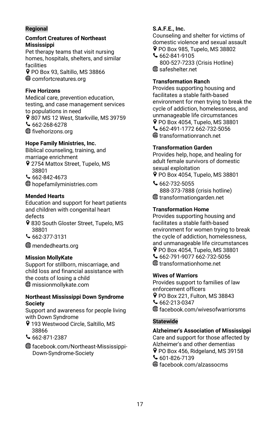# **Regional**

#### **Comfort Creatures of Northeast Mississippi**

Pet therapy teams that visit nursing homes, hospitals, shelters, and similar facilities PO Box 93, Saltillo, MS 38866  $\bigoplus$  comfortcreatures.org

**Five Horizons**

Medical care, prevention education, testing, and case management services to populations in need 9 807 MS 12 West, Starkville, MS 39759  $662 - 268 - 6278$ **<sup>⊕</sup>** fivehorizons.org

# **Hope Family Ministries, Inc.**

Biblical counseling, training, and marriage enrichment 9 2754 Mattox Street, Tupelo, MS 38801  $662 - 842 - 4673$ 

hopefamilyministries.com

# **Mended Hearts**

Education and support for heart patients and children with congenital heart defects

- 9 830 South Gloster Street, Tupelo, MS 38801
- 662-377-3131

mendedhearts.org

# **Mission MollyKate**

Support for stillborn, miscarriage, and child loss and financial assistance with the costs of losing a child missionmollykate.com

#### **Northeast Mississippi Down Syndrome Society**

Support and awareness for people living with Down Syndrome

- 9 193 Westwood Circle, Saltillo, MS 38866
- $662 871 2387$
- facebook.com/Northeast-Mississippi- Down-Syndrome-Society

# **S.A.F.E., Inc.**

Counseling and shelter for victims of domestic violence and sexual assault P PO Box 985, Tupelo, MS 38802

662-841-9105 800-527-7233 (Crisis Hotline) **<sup>●</sup>** safeshelter.net

# **Transformation Ranch**

Provides supporting housing and facilitates a stable faith-based environment for men trying to break the cycle of addiction, homelessness, and unmanageable life circumstances PO Box 4054, Tupelo, MS 38801 662-491-1772 662-732-5056 transformationranch.net

# **Transformation Garden**

Provides help, hope, and healing for adult female survivors of domestic sexual exploitation PO Box 4054, Tupelo, MS 38801

 $662 - 732 - 5055$  888-373-7888 (crisis hotline) transformationgarden.net

# **Transformation Home**

Provides supporting housing and facilitates a stable faith-based environment for women trying to break the cycle of addiction, homelessness, and unmanageable life circumstances PO Box 4054, Tupelo, MS 38801 662-791-9077 662-732-5056 transformationhome.net

# **Wives of Warriors**

Provides support to families of law enforcement officers PO Box 221, Fulton, MS 38843  $662-213-0347$ facebook.com/wivesofwarriorsms

# **Statewide**

**Alzheimer's Association of Mississippi** Care and support for those affected by Alzheimer's and other dementias PO Box 456, Ridgeland, MS 39158  $601-826-7139$ facebook.com/alzassocms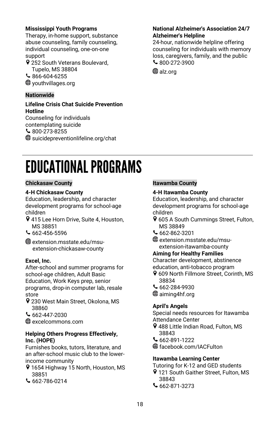### **Mississippi Youth Programs**

Therapy, in-home support, substance abuse counseling, family counseling, individual counseling, one-on-one support

9 252 South Veterans Boulevard, Tupelo, MS 38804

866-604-6255

youthvillages.org

# **Nationwide**

#### **Lifeline Crisis Chat Suicide Prevention Hotline**

Counseling for individuals contemplating suicide 800-273-8255 suicidepreventionlifeline.org/chat

#### **National Alzheimer's Association 24/7 Alzheimer's Helpline**

24-hour, nationwide helpline offering counseling for individuals with memory loss, caregivers, family, and the public  $\frac{6}{300}$ -272-3900

**<sup>⊕</sup>** alz.org

# <span id="page-20-0"></span>**EDUCATIONAL PROGRAMS**

#### **Chickasaw County**

# **4-H Chickasaw County**

Education, leadership, and character development programs for school-age children

- 9 415 Lee Horn Drive, Suite 4, Houston, MS 38851
- $662 456 5596$

 $\textcircled{\tiny{\textcircled{\#}}}$  extension.msstate.edu/msuextension-chickasaw-county

# **Excel, Inc.**

After-school and summer programs for school-age children, Adult Basic Education, Work Keys prep, senior programs, drop-in computer lab, resale store

- 9 230 West Main Street, Okolona, MS 38860
- 662-447-2030

excelcommons.com

#### **Helping Others Progress Effectively, Inc. (HOPE)**

Furnishes books, tutors, literature, and an after-school music club to the lowerincome community

- 9 1654 Highway 15 North, Houston, MS 38851
- $662 786 0214$

# **Itawamba County**

#### **4-H Itawamba County**

Education, leadership, and character development programs for school-age children

- 9 605 A South Cummings Street, Fulton, MS 38849
- 662-862-3201
- extension.msstate.edu/msuextension-itawamba-county

#### **Aiming for Healthy Families**

Character development, abstinence education, anti-tobacco program

- 9 609 North Fillmore Street, Corinth, MS 38834
- 662-284-9930
- aiming4hf.org

# **April's Angels**

Special needs resources for Itawamba Attendance Center

- 9 488 Little Indian Road, Fulton, MS 38843
- 662-891-1222
- facebook.com/IACFulton

# **Itawamba Learning Center**

Tutoring for K-12 and GED students

- 9 121 South Gaither Street, Fulton, MS 38843
- $662 871 3273$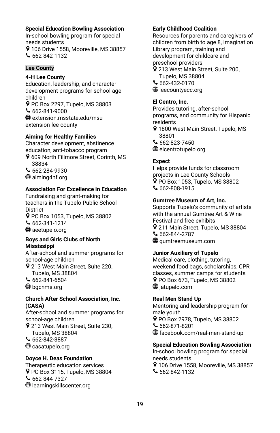#### **Special Education Bowling Association**

In-school bowling program for special needs students

9 106 Drive 1558, Mooreville, MS 38857  $662 - 842 - 1132$ 

# **Lee County**

# **4-H Lee County**

Education, leadership, and character development programs for school-age children

PO Box 2297, Tupelo, MS 38803 662-841-9000 extension.msstate.edu/msuextension-lee-county

#### **Aiming for Healthy Families**

Character development, abstinence education, anti-tobacco program 609 North Fillmore Street, Corinth, MS 38834  $662 - 284 - 9930$ aiming4hf.org

#### **Association For Excellence in Education**

Fundraising and grant-making for teachers in the Tupelo Public School **District** PO Box 1053, Tupelo, MS 38802 662-341-1214 **<sup>⊕</sup>** aeetupelo.org

#### **Boys and Girls Clubs of North Mississippi**

After-school and summer programs for school-age children

9 213 West Main Street, Suite 220, Tupelo, MS 38804

 $662 - 841 - 6504$ 

**<sup>⊕</sup>** bgcnms.org

#### **Church After School Association, Inc. (CASA)**

After-school and summer programs for school-age children

9 213 West Main Street, Suite 230, Tupelo, MS 38804

 $662 - 842 - 3887$ 

casatupelo.org

# **Doyce H. Deas Foundation**

Therapeutic education services PO Box 3115, Tupelo, MS 38804  $662 - 844 - 7327$ learningskillscenter.org

#### **Early Childhood Coalition**

Resources for parents and caregivers of children from birth to age 8, Imagination Library program, training and development for childcare and preschool providers

- 213 West Main Street, Suite 200, Tupelo, MS 38804
- 662-432-0170
- **<sup>⊕</sup>** leecountyecc.org

#### **El Centro, Inc.**

Provides tutoring, after-school programs, and community for Hispanic residents

- 9 1800 West Main Street, Tupelo, MS 38801
- 662-823-7450

**<sup>●</sup>** elcentrotupelo.org

# **Expect**

Helps provide funds for classroom projects in Lee County Schools PO Box 1053, Tupelo, MS 38802 662-808-1915

#### **Gumtree Museum of Art, Inc.**

Supports Tupelo's community of artists with the annual Gumtree Art & Wine Festival and free exhibits 211 Main Street, Tupelo, MS 38804 662-844-2787  $\textcircled{\tiny{\textcircled{\#}}}$  aumtreemuseum.com

#### **Junior Auxiliary of Tupelo**

Medical care, clothing, tutoring, weekend food bags, scholarships, CPR classes, summer camps for students PO Box 673, Tupelo, MS 38802 **<sup>●</sup>** jatupelo.com

#### **Real Men Stand Up**

Mentoring and leadership program for male youth PO Box 2978, Tupelo, MS 38802 662-871-8201 facebook.com/real-men-stand-up

#### **Special Education Bowling Association**

In-school bowling program for special needs students 9 106 Drive 1558, Mooreville, MS 38857  $662 - 842 - 1132$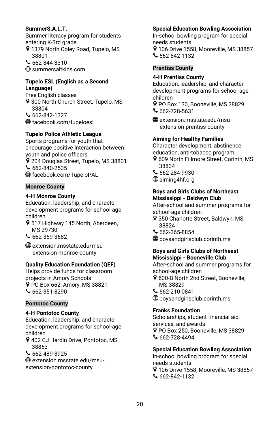# **SummerS.A.L.T.**

Summer literacy program for students entering K-3rd grade 9 1379 North Coley Road, Tupelo, MS 38801  $662 - 844 - 3310$ 

summersaltkids.com

#### **Tupelo ESL (English as a Second Language)**

Free English classes 9 300 North Church Street, Tupelo, MS 38804  $662 - 842 - 1327$ facebook.com/tupeloesl

# **Tupelo Police Athletic League**

Sports programs for youth that encourage positive interaction between youth and police officers 9 204 Douglas Street, Tupelo, MS 38801 662-840-2535 facebook.com/TupeloPAL

# **Monroe County**

#### **4-H Monroe County**

Education, leadership, and character development programs for school-age children

517 Highway 145 North, Aberdeen, MS 39730

662-369-3682

extension.msstate.edu/msu extension-monroe-county

#### **Quality Education Foundation (QEF)**

Helps provide funds for classroom projects in Amory Schools PO Box 662, Amory, MS 38821  $662 - 351 - 8290$ 

#### **Pontotoc County**

#### **4-H Pontotoc County**

Education, leadership, and character development programs for school-age children

402 CJ Hardin Drive, Pontotoc, MS 38863

662-489-3925

extension.msstate.edu/msuextension-pontotoc-county

# **Special Education Bowling Association**

In-school bowling program for special needs students 9 106 Drive 1558, Mooreville, MS 38857

662-842-1132

# **Prentiss County**

# **4-H Prentiss County**

Education, leadership, and character development programs for school-age children

PO Box 130, Booneville, MS 38829  $662-728-5631$ 

extension.msstate.edu/msu extension-prentiss-county

#### **Aiming for Healthy Families**

Character development, abstinence education, anti-tobacco program

- 9 609 North Fillmore Street, Corinth, MS 38834
- 662-284-9930
- aiming4hf.org

# **Boys and Girls Clubs of Northeast Mississippi - Baldwyn Club**

After-school and summer programs for school-age children

- 9 350 Charlotte Street, Baldwyn, MS 38824
- 662-365-8854
- boysandgirlsclub.corinth.ms

# **Boys and Girls Clubs of Northeast Mississippi - Booneville Club**

After-school and summer programs for school-age children

9 600-B North 2nd Street, Booneville, MS 38829

662-210-0841

boysandgirlsclub.corinth.ms

# **Franks Foundation**

Scholarships, student financial aid, services, and awards P PO Box 250, Booneville, MS 38829  $662 - 728 - 4494$ 

#### **Special Education Bowling Association**

In-school bowling program for special needs students 9 106 Drive 1558, Mooreville, MS 38857

662-842-1132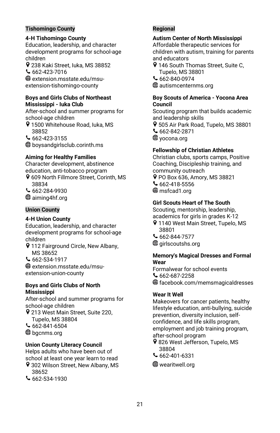#### **Tishomingo County**

#### **4-H Tishomingo County**

Education, leadership, and character development programs for school-age children

238 Kaki Street, Iuka, MS 38852 662-423-7016

extension.msstate.edu/msuextension-tishomingo-county

#### **Boys and Girls Clubs of Northeast Mississippi - Iuka Club**

After-school and summer programs for school-age children

9 1500 Whitehouse Road, luka, MS 38852

 $662 - 423 - 3155$ boysandgirlsclub.corinth.ms

# **Aiming for Healthy Families**

Character development, abstinence education, anti-tobacco program 609 North Fillmore Street, Corinth, MS 38834

662-284-9930 **<sup>⊕</sup>** aiming4hf.org

# **Union County**

#### **4-H Union County**

Education, leadership, and character development programs for school-age children

**9** 112 Fairground Circle, New Albany, MS 38652

 $662 - 534 - 1917$ 

extension.msstate.edu/msuextension-union-county

#### **Boys and Girls Clubs of North Mississippi**

After-school and summer programs for school-age children

- 9 213 West Main Street, Suite 220, Tupelo, MS 38804
- $662 841 6504$
- **⊕** bgcnms.org
- 

#### **Union County Literacy Council**

Helps adults who have been out of school at least one year learn to read

- 9 302 Wilson Street, New Albany, MS 38652
- $662 534 1930$

# **Regional**

#### **Autism Center of North Mississippi**

Affordable therapeutic services for children with autism, training for parents and educators

- 9 146 South Thomas Street, Suite C, Tupelo, MS 38801
- 662-840-0974

autismcenternms.org

#### **Boy Scouts of America - Yocona Area Council**

Scouting program that builds academic and leadership skills 9 505 Air Park Road, Tupelo, MS 38801

- 662-842-2871
- **<sup>⊕</sup>** yocona.org

# **Fellowship of Christian Athletes**

Christian clubs, sports camps, Positive Coaching, Discipleship training, and community outreach PO Box 636, Amory, MS 38821  $662 - 418 - 5556$ 

**<sup>⊕</sup>** msfcad1.org

# **Girl Scouts Heart of The South**

Scouting, mentorship, leadership, academics for girls in grades K-12

- 9 1140 West Main Street, Tupelo, MS 38801
- $662 844 7577$  $\textcircled{\tiny\textsf{\textbf{u}}}$  airlscoutshs.org

#### **Memory's Magical Dresses and Formal Wear**

Formalwear for school events  $662 - 687 - 2258$ facebook.com/memsmagicaldresses

#### **Wear It Well**

Makeovers for cancer patients, healthy lifestyle education, anti-bullying, suicide prevention, diversity inclusion, selfconfidence, and life skills program, employment and job training program, after-school program

- 9 826 West Jefferson, Tupelo, MS 38804
- 662-401-6331

wearitwell.org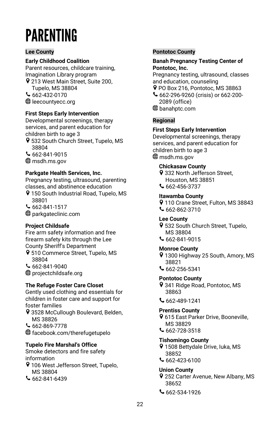# <span id="page-24-0"></span>**PARENTING**

# **Lee County**

# **Early Childhood Coalition**

Parent resources, childcare training, Imagination Library program

9 213 West Main Street, Suite 200, Tupelo, MS 38804

 $662 - 432 - 0170$ 

**<sup>●</sup>** leecountyecc.org

# **First Steps Early Intervention**

Developmental screenings, therapy services, and parent education for children birth to age 3

- 9 532 South Church Street, Tupelo, MS 38804
- 662-841-9015
- msdh.ms.gov

# **Parkgate Health Services, Inc.**

Pregnancy testing, ultrasound, parenting classes, and abstinence education

9 150 South Industrial Road, Tupelo, MS 38801

 $662 - 841 - 1517$ 

**<sup>⊕</sup>** parkgateclinic.com

# **Project Childsafe**

Fire arm safety information and free firearm safety kits through the Lee County Sheriff's Department

9 510 Commerce Street, Tupelo, MS 38804

662-841-9040

projectchildsafe.org

# **The Refuge Foster Care Closet**

Gently used clothing and essentials for children in foster care and support for foster families

- 9 3528 McCullough Boulevard, Belden, MS 38826
- $662 869 7778$
- facebook.com/therefugetupelo

# **Tupelo Fire Marshal's Office**

Smoke detectors and fire safety information

- 9 106 West Jefferson Street, Tupelo, MS 38804
- $662 841 6439$

# **Pontotoc County**

#### **Banah Pregnancy Testing Center of Pontotoc, Inc.**

Pregnancy testing, ultrasound, classes and education, counseling

- PO Box 216, Pontotoc, MS 38863
- 662-296-9260 (crisis) or 662-200- 2089 (office) banahptc.com

**Regional**

# **First Steps Early Intervention**

Developmental screenings, therapy services, and parent education for children birth to age 3 **<sup>⊕</sup>** msdh.ms.gov

# **Chickasaw County**

9 332 North Jefferson Street. Houston, MS 38851

662-456-3737

# **Itawamba County**

9 110 Crane Street, Fulton, MS 38843  $662 - 862 - 3710$ 

# **Lee County**

- 9 532 South Church Street, Tupelo, MS 38804
- 662-841-9015

#### **Monroe County**

- 9 1300 Highway 25 South, Amory, MS 38821
- 662-256-5341

# **Pontotoc County**

9 341 Ridge Road, Pontotoc, MS 38863

 $662 - 489 - 1241$ 

# **Prentiss County**

- 9 615 East Parker Drive, Booneville, MS 38829
- $662 728 3518$

# **Tishomingo County**

- 1508 Bettydale Drive, Iuka, MS 38852
- 662-423-6100

# **Union County**

- 9 252 Carter Avenue, New Albany, MS 38652
- $662-534-1926$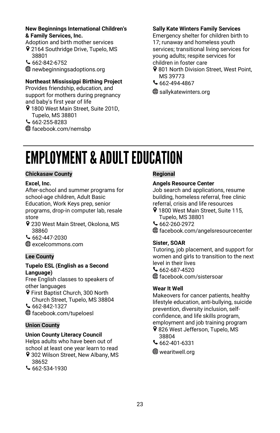#### **New Beginnings International Children's & Family Services, Inc.**

Adoption and birth mother services 9 2164 Southridge Drive, Tupelo, MS 38801

 $662 - 842 - 6752$ 

newbeginningsadoptions.org

# **Northeast Mississippi Birthing Project**

Provides friendship, education, and support for mothers during pregnancy and baby's first year of life

- 9 1800 West Main Street, Suite 201D, Tupelo, MS 38801
- $662 255 8283$
- facebook.com/nemsbp

# **Sally Kate Winters Family Services**

Emergency shelter for children birth to 17; runaway and homeless youth services; transitional living services for young adults; respite services for children in foster care

- 9 801 North Division Street, West Point, MS 39773
- 662-494-4867

**<sup>●</sup>Sallykatewinters.org** 

# <span id="page-25-0"></span>**EMPLOYMENT & ADULT EDUCATION**

#### **Chickasaw County**

#### **Excel, Inc.**

After-school and summer programs for school-age children, Adult Basic Education, Work Keys prep, senior programs, drop-in computer lab, resale store

- 9 230 West Main Street, Okolona, MS 38860
- 662-447-2030

excelcommons.com

# **Lee County**

#### **Tupelo ESL (English as a Second Language)**

Free English classes to speakers of other languages

- **9** First Baptist Church, 300 North Church Street, Tupelo, MS 38804
- $662 842 1327$
- facebook.com/tupeloesl

# **Union County**

# **Union County Literacy Council**

Helps adults who have been out of school at least one year learn to read

- 9 302 Wilson Street, New Albany, MS 38652
- $662 534 1930$

# **Regional**

#### **Angels Resource Center**

Job search and applications, resume building, homeless referral, free clinic referral, crisis and life resources

- 9 1800 West Main Street, Suite 115, Tupelo, MS 38801
- $662 260 2972$
- facebook.com/angelsresourcecenter

#### **Sister, SOAR**

Tutoring, job placement, and support for women and girls to transition to the next level in their lives  $662 - 687 - 4520$ facebook.com/sistersoar

#### **Wear It Well**

Makeovers for cancer patients, healthy lifestyle education, anti-bullying, suicide prevention, diversity inclusion, selfconfidence, and life skills program, employment and job training program

- 9826 West Jefferson, Tupelo, MS 38804
- $662 401 6331$

**<sup>●</sup>** wearitwell.org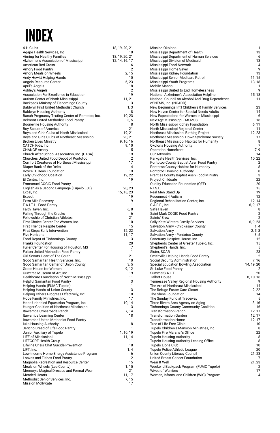# **INDEX**

| 4-H Clubs                                                                            | 18, 19, 20, 21       |
|--------------------------------------------------------------------------------------|----------------------|
| Agape Health Services, Inc<br>Aiming for Healthy Families                            | 10<br>18, 19, 20, 21 |
| Alzheimer's Association of Mississippi                                               | 12, 14, 16, 17       |
| American Red Cross                                                                   | 6                    |
| Amory Food Pantry                                                                    | 2                    |
| Amory Meals on Wheels<br>Andy Hewitt Helping Hands                                   | 2,15<br>10           |
| Angels Resource Center                                                               | 6, 23                |
| April's Angels                                                                       | 18                   |
| Ashley's Angels<br>Association For Excellence in Education                           | $\overline{2}$<br>19 |
| Autism Center of North Mississippi                                                   | 11, 21               |
| Backpack Ministry of Tishomingo County                                               | 3                    |
| Baldwyn First United Methodist Church                                                | 1,3<br>8             |
| <b>Baldwyn Housing Authority</b><br>Banah Pregnancy Testing Center of Pontotoc, Inc. | 10,23                |
| Belmont United Methodist Food Pantry                                                 | 3, 5                 |
| <b>Booneville Housing Authority</b>                                                  | 8                    |
| Boy Scouts of America<br>Boys and Girls Clubs of North Mississippi                   | 21<br>19, 21         |
| Boys and Girls Clubs of Northeast Mississippi                                        | 20, 21               |
| <b>Broken Lives Ministry</b>                                                         | 9, 10, 16            |
| CATCH Kids, Inc.<br><b>CHANGE Amory</b>                                              | 9,10<br>5            |
| Church After School Association, Inc. (CASA)                                         | 19                   |
| Churches United Food Depot of Pontotoc                                               | 2                    |
| Comfort Creatures of Northeast Mississippi                                           | 17<br>$\Delta$       |
| Diaper Bank of the Delta<br>Doyce H. Deas Foundation                                 | 19                   |
| Early Childhood Coalition                                                            | 19,22                |
| El Centro, Inc.                                                                      | 19                   |
| Emmanuel COGIC Food Pantry<br>English as a Second Language (Tupelo ESL)              | 1<br>20, 23          |
| Excel, Inc.                                                                          | 15, 18, 23           |
| Expect                                                                               | 19                   |
| <b>Extra Mile Recovery</b>                                                           | 9                    |
| F.A.I.T.H. Food Pantry<br>Faith Haven, Inc.                                          | 1<br>6,8             |
| Falling Through the Cracks                                                           | 6                    |
| Fellowship of Christian Athletes                                                     | 21                   |
| First Choice Center For Women, Inc.<br><b>First Friends Respite Center</b>           | 10<br>15             |
| First Steps Early Intervention                                                       | 12, 22               |
| <b>Five Horizons</b>                                                                 | 11, 17               |
| Food Depot of Tishomingo County                                                      | 3<br>20              |
| Franks Foundation<br>Fuller Center For Housing of Houston, MS                        | 7                    |
| Fulton United Methodist Food Pantry                                                  | 1                    |
| Girl Scouts Heart of The South                                                       | 21                   |
| Good Samaritan Health Services, Inc.<br>Good Samaritan Center of Union County        | 10<br>3, 5           |
| Grace House for Women                                                                | 9,12                 |
| Gumtree Museum of Art, Inc.                                                          | 19                   |
| Healthcare Foundation of North Mississippi<br>Helpful Samaritan Food Pantry          | 11<br>3              |
| Helping Hands (FUMC Tupelo)                                                          | 1                    |
| Helping Hands of Union County                                                        | 3                    |
| Helping Others Progress Effectively, Inc.                                            | 18                   |
| Hope Family Ministries, Inc.<br>Hope Unbridled Equestrian Program, Inc.              | 17<br>10, 14         |
| Hunger Coalition of Northeast Mississippi                                            | 3                    |
| Itawamba Crossroads Ranch                                                            | 7,14                 |
| Itawamba Learning Center<br>Itawamba United Methodist Food Pantry                    | 18<br>1              |
| luka Housing Authority                                                               | 8                    |
| Jericho Bread of Life Food Pantry                                                    | 1                    |
| Junior Auxiliary of Tupelo                                                           | 1, 10, 19<br>11, 14  |
| LIFE of Mississippi<br><b>LIFECORE Health Group</b>                                  | 11                   |
| Lifeline Crisis Chat Suicide Prevention                                              | 18                   |
| LIFT, Inc.                                                                           | 1,4                  |
| Low-Income Home Energy Assistance Program<br>Loaves and Fishes Food Pantry           | 6<br>$\overline{2}$  |
| Magnolia Recreation and Resource Center                                              | 15                   |
| Meals on Wheels (Lee County)                                                         | 1, 15                |
| Memory's Magical Dresses and Formal Wear<br><b>Mended Hearts</b>                     | 21                   |
| Methodist Senior Services, Inc.                                                      | 11, 17<br>7, 15      |
| Mission MollyKate                                                                    | 17                   |

| Mission Okolona                                                              | 1                    |
|------------------------------------------------------------------------------|----------------------|
| Mississippi Department of Health                                             | 13                   |
| Mississippi Department of Human Services<br>Mississippi Division of Medicaid | 6<br>13              |
| Mississippi Food Network                                                     | 4                    |
| Mississippi Home Saver                                                       | 9                    |
| Mississippi Kidney Foundation                                                | 13                   |
| Mississippi Senior Medicare Patrol<br>Mississippi Youth Programs             | 11, 15<br>13, 18     |
| Mobile Manna                                                                 | 1                    |
| Mississippi United to End Homelessness                                       | 9                    |
| National Alzheimer's Association Helpline                                    | 15, 18               |
| National Council on Alcohol And Drug Dependence                              | 11                   |
| of NEMS, Inc. (NCADD)<br>New Beginnings Int'l Children's & Family Services   | 23                   |
| New Haven Center for Special Needs Adults                                    | 14                   |
| New Expectations for Women in Mississippi                                    | 6                    |
| NextAge Mississippi - MSMSS                                                  | 16                   |
| North Mississippi Kidney Foundation<br>North Mississippi Regional Center     | 6, 11<br>11          |
| Northeast Mississippi Birthing Project                                       | 12, 23               |
| Northeast Mississippi Down Syndrome Society                                  | 17                   |
| Northeast Mississippi Habitat for Humanity                                   | 8                    |
| Okolona Housing Authority<br>Operation Homefront                             | 7<br>7, 9            |
| Our Artworks                                                                 | 14                   |
| Parkgate Health Services, Inc.                                               | 10,22                |
| Pontotoc County Baptist Assn Food Pantry                                     | $\overline{c}$       |
| Pontotoc County Habitat for Humanity<br>Pontotoc Housing Authority           | 8<br>8               |
| Prentiss County Baptist Assn Food Ministry                                   | 3                    |
| Project Childsafe                                                            | 22                   |
| Quality Education Foundation (QEF)                                           | 20<br>15             |
| R.I.S.E<br>Real Men Stand Up                                                 | 19                   |
| Reconnect 4 Autism                                                           | 12                   |
| Regional Rehabilitation Center, Inc.                                         | 12, 14               |
| S.A.F.E., Inc.                                                               | 6, 9, 17<br>8        |
| Safe Haven<br>Saint Mark COGIC Food Pantry                                   | $\overline{c}$       |
| Saints' Brew                                                                 | $\overline{c}$       |
| Sally Kate Winters Family Services                                           | 6, 9, 23             |
| Salvation Army - Chickasaw County<br>Salvation Army                          | 1, 4<br>2, 5, 8      |
| Salvation Army - Pontotoc County                                             | 3, 5                 |
| Sanctuary Hospice House, Inc.                                                | 12                   |
| Shepherds Center of Greater Tupelo, Inc.                                     | 15                   |
| Shepherd's Hands, Inc.<br>Sister, SOAR                                       | 5<br>23              |
| Smithville Helping Hands Food Pantry                                         | 2                    |
| Social Security Administration                                               | 7,16                 |
| Special Education Bowling Association<br>St. Luke Food Pantry                | 14, 19, 20<br>2      |
| SummerS.A.L.T.                                                               | 20                   |
| Talbot House                                                                 | 8, 10, 16            |
| Tennessee Valley Regional Housing Authority                                  | 9                    |
| The Arc of Northeast Mississippi<br>The Refuge Foster Care Closet            | 14<br>2, 22          |
| The Shine Foundation                                                         | 14                   |
| The Sunday Fund at Traceway                                                  | 5                    |
| Three Rivers Area Agency on Aging                                            | 3,16                 |
| Tishomingo County Community Coalition<br><b>Transformation Ranch</b>         | 16<br>12, 17         |
| <b>Transformation Garden</b>                                                 | 12, 17               |
| <b>Transformation Home</b>                                                   | 12, 17               |
| Tree of Life Free Clinic                                                     | 10                   |
| Tupelo Children's Mansion Ministries, Inc.<br>Tupelo Fire Marshal's Office   | 8<br>22              |
| <b>Tupelo Housing Authority</b>                                              | 8                    |
| Tupelo Housing Authority Leasing Office                                      | 8                    |
| Tupelo Lions Club                                                            | 10<br>20             |
| Tupelo Police Athletic League<br>Union County Literacy Council               | 21, 23               |
| United Breast Cancer Foundation                                              | 7                    |
| Wear It Well                                                                 | 21, 23               |
| Weekend Backpack Program (FUMC Tupelo)<br>Wives of Warriors                  | $\overline{c}$<br>17 |
| Women, Infants, and Children (WIC) Program                                   | $\overline{4}$       |
|                                                                              |                      |